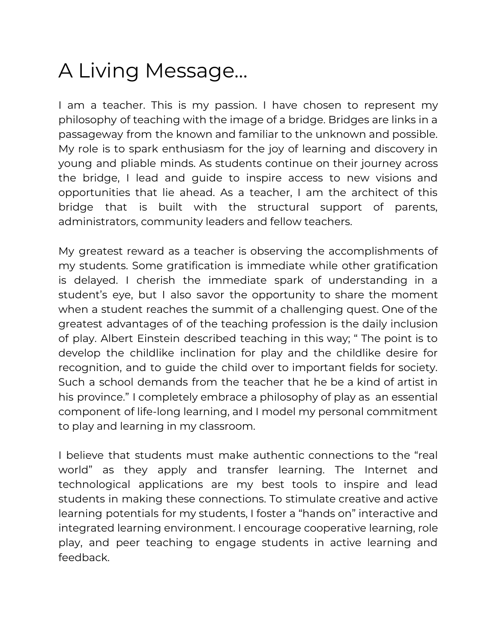## A Living Message…

I am a teacher. This is my passion. I have chosen to represent my philosophy of teaching with the image of a bridge. Bridges are links in a passageway from the known and familiar to the unknown and possible. My role is to spark enthusiasm for the joy of learning and discovery in young and pliable minds. As students continue on their journey across the bridge, I lead and guide to inspire access to new visions and opportunities that lie ahead. As a teacher, I am the architect of this bridge that is built with the structural support of parents, administrators, community leaders and fellow teachers.

My greatest reward as a teacher is observing the accomplishments of my students. Some gratification is immediate while other gratification is delayed. I cherish the immediate spark of understanding in a student's eye, but I also savor the opportunity to share the moment when a student reaches the summit of a challenging quest. One of the greatest advantages of of the teaching profession is the daily inclusion of play. Albert Einstein described teaching in this way; " The point is to develop the childlike inclination for play and the childlike desire for recognition, and to guide the child over to important fields for society. Such a school demands from the teacher that he be a kind of artist in his province." I completely embrace a philosophy of play as an essential component of life-long learning, and I model my personal commitment to play and learning in my classroom.

I believe that students must make authentic connections to the "real world" as they apply and transfer learning. The Internet and technological applications are my best tools to inspire and lead students in making these connections. To stimulate creative and active learning potentials for my students, I foster a "hands on" interactive and integrated learning environment. I encourage cooperative learning, role play, and peer teaching to engage students in active learning and feedback.